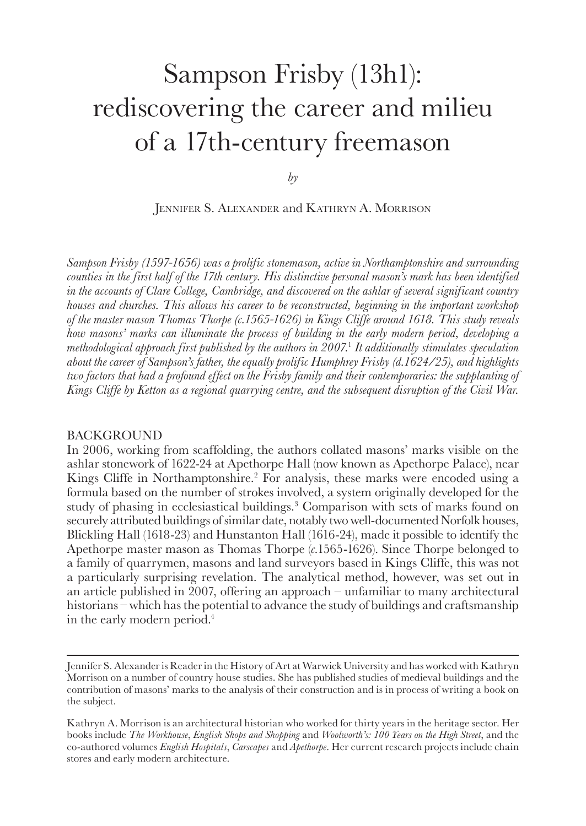# <span id="page-0-0"></span>Sampson Frisby (13h1): rediscovering the career and milieu of a 17th‑century freemason

*by*

Jennifer S. Alexander and Kathryn A. Morrison

*Sampson Frisby (1597-1656) was a prolific stonemason, active in Northamptonshire and surrounding counties in the first half of the 17th century. His distinctive personal mason's mark has been identified in the accounts of Clare College, Cambridge, and discovered on the ashlar of several significant country houses and churches. This allows his career to be reconstructed, beginning in the important workshop of the master mason Thomas Thorpe (c.1565-1626) in Kings Cliffe around 1618. This study reveals how masons' marks can illuminate the process of building in the early modern period, developing a methodological approach first published by the authors in 2007.*[1](#page-15-0)  *It additionally stimulates speculation about the career of Sampson's father, the equally prolific Humphrey Frisby (d.1624/25), and highlights two factors that had a profound effect on the Frisby family and their contemporaries: the supplanting of Kings Cliffe by Ketton as a regional quarrying centre, and the subsequent disruption of the Civil War.*

#### BACKGROUND

In 2006, working from scaffolding, the authors collated masons' marks visible on the ashlar stonework of 1622-24 at Apethorpe Hall (now known as Apethorpe Palace), near Kings Cliffe in Northamptonshire.<sup>2</sup> For analysis, these marks were encoded using a formula based on the number of strokes involved, a system originally developed for the study of phasing in ecclesiastical buildings.<sup>3</sup> Comparison with sets of marks found on securely attributed buildings of similar date, notably two well-documented Norfolk houses, Blickling Hall (1618-23) and Hunstanton Hall (1616-24), made it possible to identify the Apethorpe master mason as Thomas Thorpe (*c.*1565-1626). Since Thorpe belonged to a family of quarrymen, masons and land surveyors based in Kings Cliffe, this was not a particularly surprising revelation. The analytical method, however, was set out in an article published in 2007, offering an approach – unfamiliar to many architectural historians – which has the potential to advance the study of buildings and craftsmanship in the early modern period.<sup>[4](#page-15-0)</sup>

Jennifer S. Alexander is Reader in the History of Art at Warwick University and has worked with Kathryn Morrison on a number of country house studies. She has published studies of medieval buildings and the contribution of masons' marks to the analysis of their construction and is in process of writing a book on the subject.

Kathryn A. Morrison is an architectural historian who worked for thirty years in the heritage sector. Her books include *The Workhouse*, *English Shops and Shopping* and *Woolworth's: 100 Years on the High Street*, and the co-authored volumes *English Hospitals*, *Carscapes* and *Apethorpe*. Her current research projects include chain stores and early modern architecture.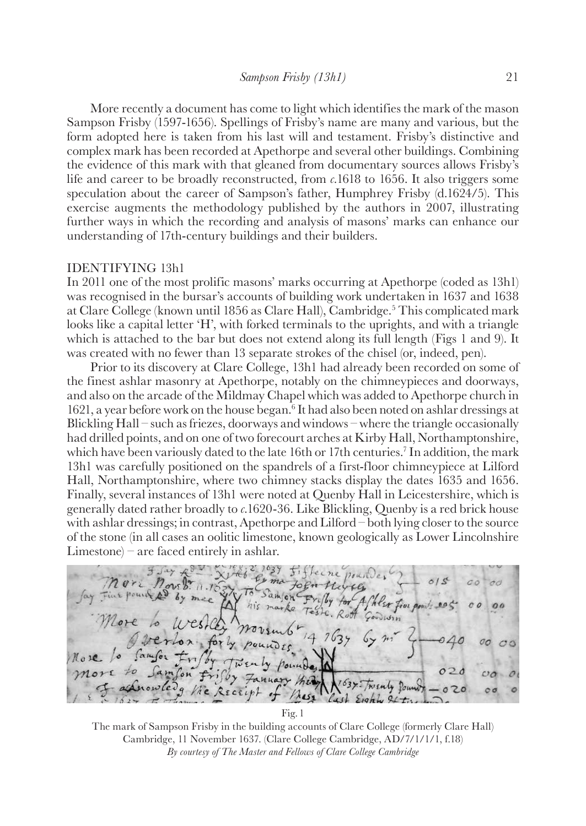<span id="page-1-0"></span>More recently a document has come to light which identifies the mark of the mason Sampson Frisby (1597-1656). Spellings of Frisby's name are many and various, but the form adopted here is taken from his last will and testament. Frisby's distinctive and complex mark has been recorded at Apethorpe and several other buildings. Combining the evidence of this mark with that gleaned from documentary sources allows Frisby's life and career to be broadly reconstructed, from *c.*1618 to 1656. It also triggers some speculation about the career of Sampson's father, Humphrey Frisby (d.1624/5). This exercise augments the methodology published by the authors in 2007, illustrating further ways in which the recording and analysis of masons' marks can enhance our understanding of 17th-century buildings and their builders.

#### IDENTIFYING 13h1

In 2011 one of the most prolific masons' marks occurring at Apethorpe (coded as 13h1) was recognised in the bursar's accounts of building work undertaken in 1637 and 1638 at Clare College (known until 18[5](#page-15-0)6 as Clare Hall), Cambridge.<sup>5</sup> This complicated mark looks like a capital letter 'H', with forked terminals to the uprights, and with a triangle which is attached to the bar but does not extend along its full length (Figs 1 and 9). It was created with no fewer than 13 separate strokes of the chisel (or, indeed, pen).

Prior to its discovery at Clare College, 13h1 had already been recorded on some of the finest ashlar masonry at Apethorpe, notably on the chimneypieces and doorways, and also on the arcade of the Mildmay Chapel which was added to Apethorpe church in 1[6](#page-15-0)21, a year before work on the house began.<sup>6</sup> It had also been noted on ashlar dressings at Blickling Hall – such as friezes, doorways and windows – where the triangle occasionally had drilled points, and on one of two forecourt arches at Kirby Hall, Northamptonshire, which have been variously dated to the late 16th or 17th centuries.<sup>7</sup> In addition, the mark 13h1 was carefully positioned on the spandrels of a first-floor chimneypiece at Lilford Hall, Northamptonshire, where two chimney stacks display the dates 1635 and 1656. Finally, several instances of 13h1 were noted at Quenby Hall in Leicestershire, which is generally dated rather broadly to *c.*1620-36. Like Blickling, Quenby is a red brick house with ashlar dressings; in contrast, Apethorpe and Lilford – both lying closer to the source of the stone (in all cases an oolitic limestone, known geologically as Lower Lincolnshire Limestone) – are faced entirely in ashlar.

Samon by mee Af hear from po his marke  $Govvin$ French Pour RECE  $M_{45}$ Cast Eighty

The mark of Sampson Frisby in the building accounts of Clare College (formerly Clare Hall) Cambridge, 11 November 1637. (Clare College Cambridge, AD/7/1/1/1, f.18) *By courtesy of The Master and Fellows of Clare College Cambridge* 

Fig.1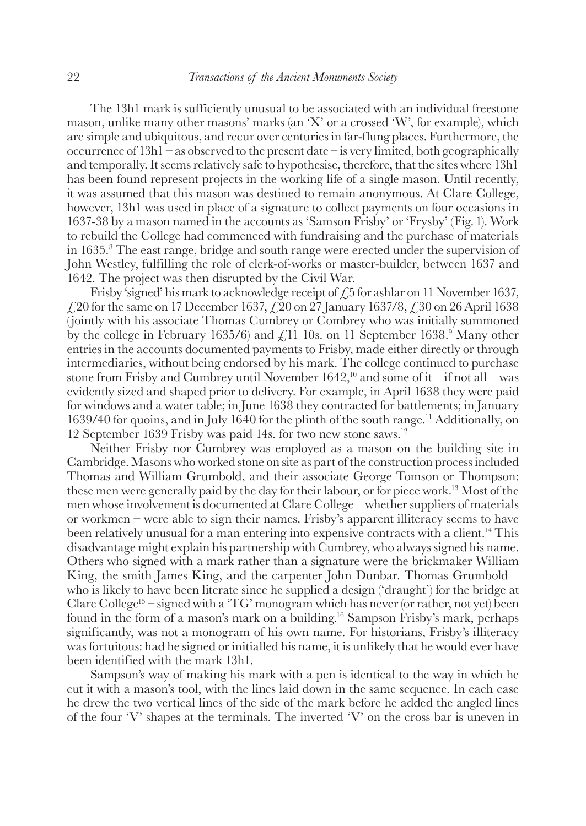<span id="page-2-0"></span>The 13h1 mark is sufficiently unusual to be associated with an individual freestone mason, unlike many other masons' marks (an 'X' or a crossed 'W', for example), which are simple and ubiquitous, and recur over centuries in far-flung places. Furthermore, the occurrence of  $13h1 - as$  observed to the present date – is very limited, both geographically and temporally. It seems relatively safe to hypothesise, therefore, that the sites where 13h1 has been found represent projects in the working life of a single mason. Until recently, it was assumed that this mason was destined to remain anonymous. At Clare College, however, 13h1 was used in place of a signature to collect payments on four occasions in 1637-38 by a mason named in the accounts as 'Samson Frisby' or 'Frysby' (Fig.1). Work to rebuild the College had commenced with fundraising and the purchase of materials in 1635[.8](#page-15-0) The east range, bridge and south range were erected under the supervision of John Westley, fulfilling the role of clerk-of-works or master-builder, between 1637 and 1642. The project was then disrupted by the Civil War.

Frisby 'signed' his mark to acknowledge receipt of  $\ell$ , 5 for ashlar on 11 November 1637,  $\text{\emph{£}}20$  for the same on 17 December 1637,  $\text{\emph{£}}320$  on 27 January 1637/8,  $\text{\emph{£}}30$  on 26 April 1638 (jointly with his associate Thomas Cumbrey or Combrey who was initially summoned by the college in February 1635/6) and  $\mathcal{L}$ 11 10s. on 11 September 1638.<sup>[9](#page-15-0)</sup> Many other entries in the accounts documented payments to Frisby, made either directly or through intermediaries, without being endorsed by his mark. The college continued to purchase stone from Frisby and Cumbrey until November 1642,<sup>10</sup> and some of it – if not all – was evidently sized and shaped prior to delivery. For example, in April 1638 they were paid for windows and a water table; in June 1638 they contracted for battlements; in January 1639/40 for quoins, and in July 1640 for the plinth of the south range[.11](#page-15-0) Additionally, on 12 September 1639 Frisby was paid 14s. for two new stone saws[.12](#page-15-0)

Neither Frisby nor Cumbrey was employed as a mason on the building site in Cambridge. Masons who worked stone on site as part of the construction process included Thomas and William Grumbold, and their associate George Tomson or Thompson: these men were generally paid by the day for their labour, or for piece work.<sup>13</sup> Most of the men whose involvement is documented at Clare College – whether suppliers of materials or workmen – were able to sign their names. Frisby's apparent illiteracy seems to have been relatively unusual for a man entering into expensive contracts with a client[.14](#page-15-0) This disadvantage might explain his partnership with Cumbrey, who always signed his name. Others who signed with a mark rather than a signature were the brickmaker William King, the smith James King, and the carpenter John Dunbar. Thomas Grumbold – who is likely to have been literate since he supplied a design ('draught') for the bridge at Clare College<sup>15</sup> – signed with a 'TG' monogram which has never (or rather, not yet) been found in the form of a mason's mark on a building[.16](#page-15-0) Sampson Frisby's mark, perhaps significantly, was not a monogram of his own name. For historians, Frisby's illiteracy was fortuitous: had he signed or initialled his name, it is unlikely that he would ever have been identified with the mark 13h1.

Sampson's way of making his mark with a pen is identical to the way in which he cut it with a mason's tool, with the lines laid down in the same sequence. In each case he drew the two vertical lines of the side of the mark before he added the angled lines of the four 'V' shapes at the terminals. The inverted 'V' on the cross bar is uneven in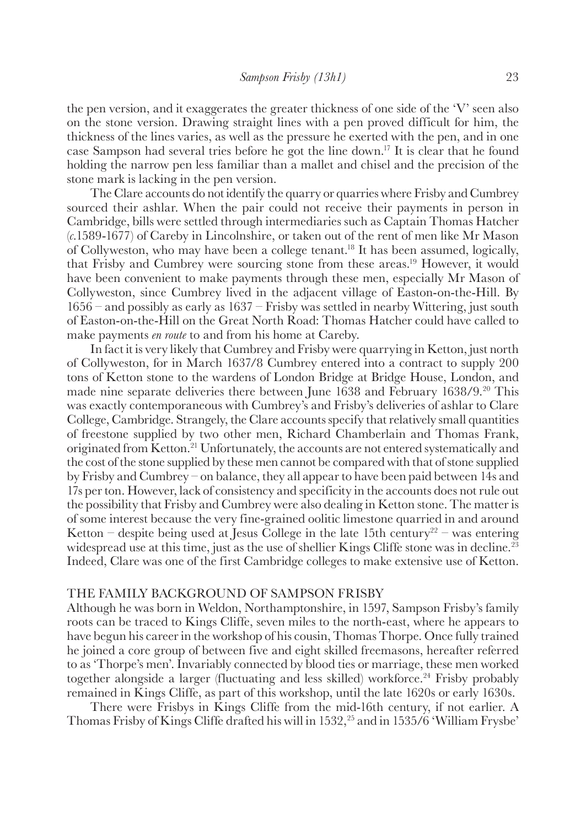<span id="page-3-0"></span>the pen version, and it exaggerates the greater thickness of one side of the 'V' seen also on the stone version. Drawing straight lines with a pen proved difficult for him, the thickness of the lines varies, as well as the pressure he exerted with the pen, and in one case Sampson had several tries before he got the line down[.17](#page-15-0) It is clear that he found holding the narrow pen less familiar than a mallet and chisel and the precision of the stone mark is lacking in the pen version.

The Clare accounts do not identify the quarry or quarries where Frisby and Cumbrey sourced their ashlar. When the pair could not receive their payments in person in Cambridge, bills were settled through intermediaries such as Captain Thomas Hatcher (*c.*1589-1677) of Careby in Lincolnshire, or taken out of the rent of men like Mr Mason of Collyweston, who may have been a college tenant[.18](#page-15-0) It has been assumed, logically, that Frisby and Cumbrey were sourcing stone from these areas[.19](#page-16-0) However, it would have been convenient to make payments through these men, especially Mr Mason of Collyweston, since Cumbrey lived in the adjacent village of Easton-on-the-Hill. By 1656 – and possibly as early as 1637 – Frisby was settled in nearby Wittering, just south of Easton-on-the-Hill on the Great North Road: Thomas Hatcher could have called to make payments *en route* to and from his home at Careby.

In fact it is very likely that Cumbrey and Frisby were quarrying in Ketton, just north of Collyweston, for in March 1637/8 Cumbrey entered into a contract to supply 200 tons of Ketton stone to the wardens of London Bridge at Bridge House, London, and made nine separate deliveries there between June 1638 and February 1638/9.[20](#page-16-0) This was exactly contemporaneous with Cumbrey's and Frisby's deliveries of ashlar to Clare College, Cambridge. Strangely, the Clare accounts specify that relatively small quantities of freestone supplied by two other men, Richard Chamberlain and Thomas Frank, originated from Ketton[.21](#page-16-0) Unfortunately, the accounts are not entered systematically and the cost of the stone supplied by these men cannot be compared with that of stone supplied by Frisby and Cumbrey – on balance, they all appear to have been paid between 14s and 17s per ton. However, lack of consistency and specificity in the accounts does not rule out the possibility that Frisby and Cumbrey were also dealing in Ketton stone. The matter is of some interest because the very fine-grained oolitic limestone quarried in and around Ketton – despite being used at Jesus College in the late 15th century<sup>22</sup> – was entering widespread use at this time, just as the use of shellier Kings Cliffe stone was in decline.<sup>[23](#page-16-0)</sup> Indeed, Clare was one of the first Cambridge colleges to make extensive use of Ketton.

#### THE FAMILY BACKGROUND OF SAMPSON FRISBY

Although he was born in Weldon, Northamptonshire, in 1597, Sampson Frisby's family roots can be traced to Kings Cliffe, seven miles to the north-east, where he appears to have begun his career in the workshop of his cousin, Thomas Thorpe. Once fully trained he joined a core group of between five and eight skilled freemasons, hereafter referred to as 'Thorpe's men'. Invariably connected by blood ties or marriage, these men worked together alongside a larger (fluctuating and less skilled) workforce.<sup>24</sup> Frisby probably remained in Kings Cliffe, as part of this workshop, until the late 1620s or early 1630s.

There were Frisbys in Kings Cliffe from the mid-16th century, if not earlier. A Thomas Frisby of Kings Cliffe drafted his will in 1532,[25](#page-16-0) and in 1535/6 'William Frysbe'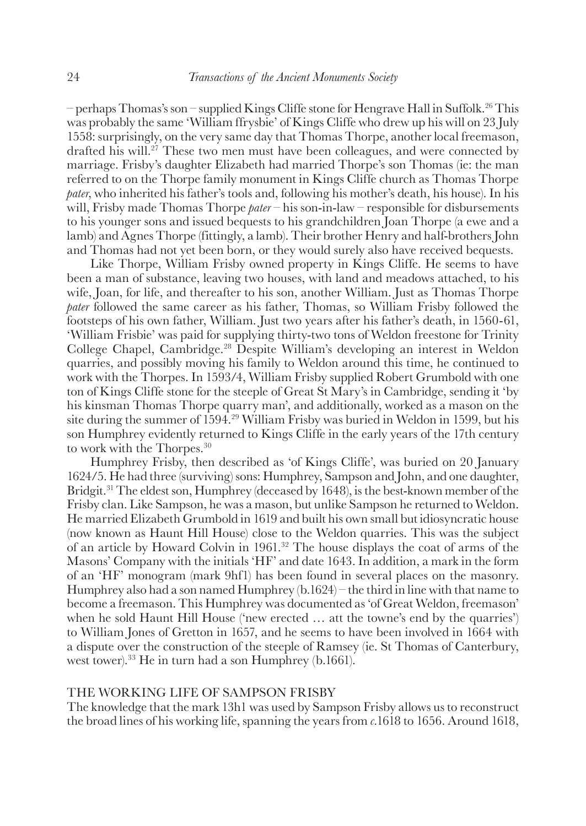<span id="page-4-0"></span>– perhaps Thomas's son – supplied Kings Cliffe stone for Hengrave Hall in Suffolk.<sup>[26](#page-16-0)</sup> This was probably the same 'William ffrysbie' of Kings Cliffe who drew up his will on 23 July 1558: surprisingly, on the very same day that Thomas Thorpe, another local freemason, drafted his will.<sup>[27](#page-16-0)</sup> These two men must have been colleagues, and were connected by marriage. Frisby's daughter Elizabeth had married Thorpe's son Thomas (ie: the man referred to on the Thorpe family monument in Kings Cliffe church as Thomas Thorpe *pater*, who inherited his father's tools and, following his mother's death, his house). In his will, Frisby made Thomas Thorpe *pater* – his son-in-law – responsible for disbursements to his younger sons and issued bequests to his grandchildren Joan Thorpe (a ewe and a lamb) and Agnes Thorpe (fittingly, a lamb). Their brother Henry and half-brothers John and Thomas had not yet been born, or they would surely also have received bequests.

Like Thorpe, William Frisby owned property in Kings Cliffe. He seems to have been a man of substance, leaving two houses, with land and meadows attached, to his wife, Joan, for life, and thereafter to his son, another William. Just as Thomas Thorpe *pater* followed the same career as his father, Thomas, so William Frisby followed the footsteps of his own father, William. Just two years after his father's death, in 1560-61, 'William Frisbie' was paid for supplying thirty-two tons of Weldon freestone for Trinity College Chapel, Cambridge[.28](#page-16-0) Despite William's developing an interest in Weldon quarries, and possibly moving his family to Weldon around this time, he continued to work with the Thorpes. In 1593/4, William Frisby supplied Robert Grumbold with one ton of Kings Cliffe stone for the steeple of Great St Mary's in Cambridge, sending it 'by his kinsman Thomas Thorpe quarry man', and additionally, worked as a mason on the site during the summer of 1594.[29](#page-16-0) William Frisby was buried in Weldon in 1599, but his son Humphrey evidently returned to Kings Cliffe in the early years of the 17th century to work with the Thorpes.<sup>[30](#page-16-0)</sup>

Humphrey Frisby, then described as 'of Kings Cliffe', was buried on 20 January 1624/5. He had three (surviving) sons: Humphrey, Sampson and John, and one daughter, Bridgit.<sup>31</sup> The eldest son, Humphrey (deceased by 1648), is the best-known member of the Frisby clan. Like Sampson, he was a mason, but unlike Sampson he returned to Weldon. He married Elizabeth Grumbold in 1619 and built his own small but idiosyncratic house (now known as Haunt Hill House) close to the Weldon quarries. This was the subject of an article by Howard Colvin in 1961.[32](#page-16-0) The house displays the coat of arms of the Masons' Company with the initials 'HF' and date 1643. In addition, a mark in the form of an 'HF' monogram (mark 9hf1) has been found in several places on the masonry. Humphrey also had a son named Humphrey (b.1624) – the third in line with that name to become a freemason. This Humphrey was documented as 'of Great Weldon, freemason' when he sold Haunt Hill House ('new erected … att the towne's end by the quarries') to William Jones of Gretton in 1657, and he seems to have been involved in 1664 with a dispute over the construction of the steeple of Ramsey (ie. St Thomas of Canterbury, west tower)[.33](#page-16-0) He in turn had a son Humphrey (b.1661).

## THE WORKING LIFE OF SAMPSON FRISBY

The knowledge that the mark 13h1 was used by Sampson Frisby allows us to reconstruct the broad lines of his working life, spanning the years from *c.*1618 to 1656. Around 1618,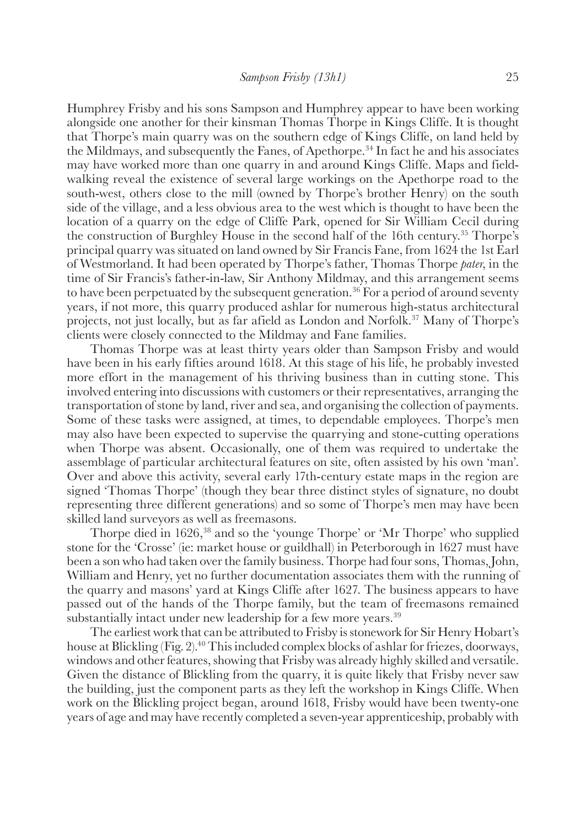<span id="page-5-0"></span>Humphrey Frisby and his sons Sampson and Humphrey appear to have been working alongside one another for their kinsman Thomas Thorpe in Kings Cliffe. It is thought that Thorpe's main quarry was on the southern edge of Kings Cliffe, on land held by the Mildmays, and subsequently the Fanes, of Apethorpe.<sup>34</sup> In fact he and his associates may have worked more than one quarry in and around Kings Cliffe. Maps and fieldwalking reveal the existence of several large workings on the Apethorpe road to the south-west, others close to the mill (owned by Thorpe's brother Henry) on the south side of the village, and a less obvious area to the west which is thought to have been the location of a quarry on the edge of Cliffe Park, opened for Sir William Cecil during the construction of Burghley House in the second half of the 16th century.[35](#page-16-0) Thorpe's principal quarry was situated on land owned by Sir Francis Fane, from 1624 the 1st Earl of Westmorland. It had been operated by Thorpe's father, Thomas Thorpe *pater*, in the time of Sir Francis's father-in-law, Sir Anthony Mildmay, and this arrangement seems to have been perpetuated by the subsequent generation.<sup>36</sup> For a period of around seventy years, if not more, this quarry produced ashlar for numerous high-status architectural projects, not just locally, but as far afield as London and Norfolk.[37](#page-17-0) Many of Thorpe's clients were closely connected to the Mildmay and Fane families.

Thomas Thorpe was at least thirty years older than Sampson Frisby and would have been in his early fifties around 1618. At this stage of his life, he probably invested more effort in the management of his thriving business than in cutting stone. This involved entering into discussions with customers or their representatives, arranging the transportation of stone by land, river and sea, and organising the collection of payments. Some of these tasks were assigned, at times, to dependable employees. Thorpe's men may also have been expected to supervise the quarrying and stone-cutting operations when Thorpe was absent. Occasionally, one of them was required to undertake the assemblage of particular architectural features on site, often assisted by his own 'man'. Over and above this activity, several early 17th-century estate maps in the region are signed 'Thomas Thorpe' (though they bear three distinct styles of signature, no doubt representing three different generations) and so some of Thorpe's men may have been skilled land surveyors as well as freemasons.

Thorpe died in 1626,<sup>38</sup> and so the 'younge Thorpe' or 'Mr Thorpe' who supplied stone for the 'Crosse' (ie: market house or guildhall) in Peterborough in 1627 must have been a son who had taken over the family business. Thorpe had four sons, Thomas, John, William and Henry, yet no further documentation associates them with the running of the quarry and masons' yard at Kings Cliffe after 1627. The business appears to have passed out of the hands of the Thorpe family, but the team of freemasons remained substantially intact under new leadership for a few more years.<sup>[39](#page-17-0)</sup>

The earliest work that can be attributed to Frisby is stonework for Sir Henry Hobart's house at Blickling (Fig.2)[.40](#page-17-0) This included complex blocks of ashlar for friezes, doorways, windows and other features, showing that Frisby was already highly skilled and versatile. Given the distance of Blickling from the quarry, it is quite likely that Frisby never saw the building, just the component parts as they left the workshop in Kings Cliffe. When work on the Blickling project began, around 1618, Frisby would have been twenty-one years of age and may have recently completed a seven-year apprenticeship, probably with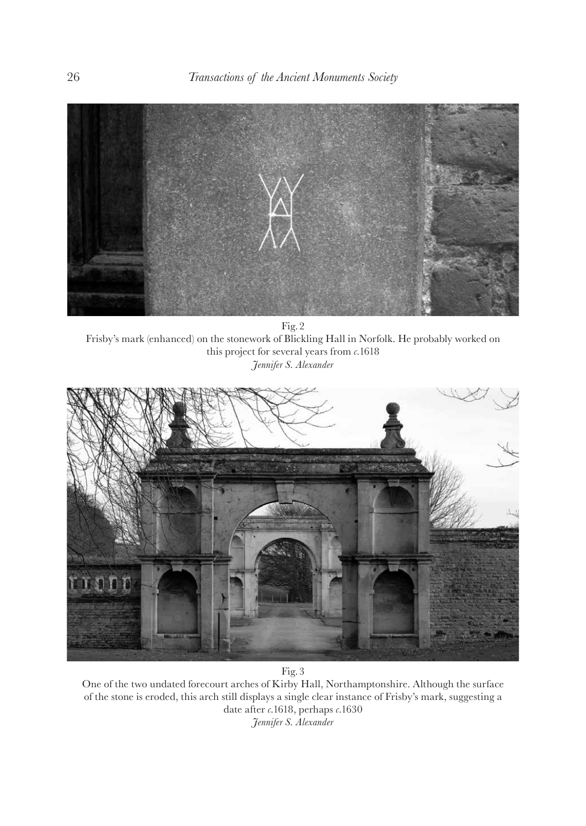

Fig.2 Frisby's mark (enhanced) on the stonework of Blickling Hall in Norfolk. He probably worked on this project for several years from *c.*1618 *Jennifer S. Alexander*



Fig.3

One of the two undated forecourt arches of Kirby Hall, Northamptonshire. Although the surface of the stone is eroded, this arch still displays a single clear instance of Frisby's mark, suggesting a date after *c.*1618, perhaps *c.*1630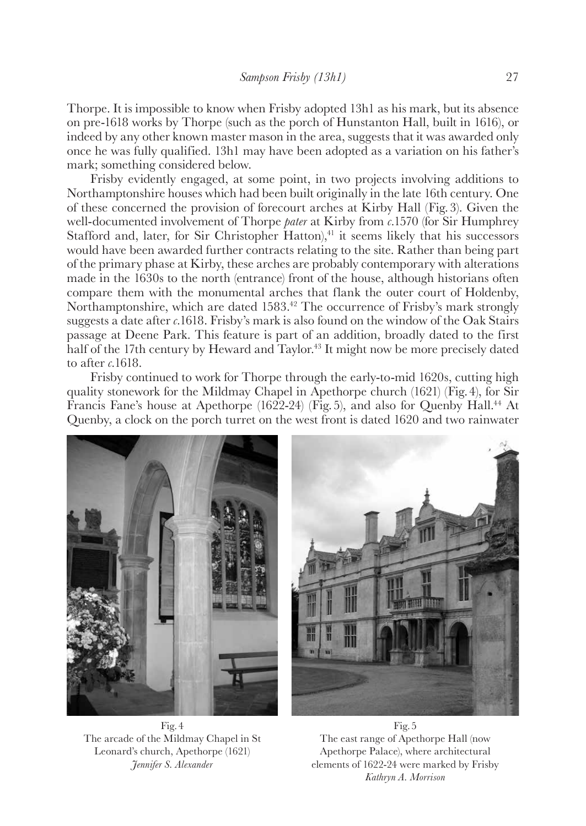<span id="page-7-0"></span>Thorpe. It is impossible to know when Frisby adopted 13h1 as his mark, but its absence on pre-1618 works by Thorpe (such as the porch of Hunstanton Hall, built in 1616), or indeed by any other known master mason in the area, suggests that it was awarded only once he was fully qualified. 13h1 may have been adopted as a variation on his father's mark; something considered below.

Frisby evidently engaged, at some point, in two projects involving additions to Northamptonshire houses which had been built originally in the late 16th century. One of these concerned the provision of forecourt arches at Kirby Hall (Fig.3). Given the well-documented involvement of Thorpe *pater* at Kirby from *c.*1570 (for Sir Humphrey Stafford and, later, for Sir Christopher Hatton), $41$  it seems likely that his successors would have been awarded further contracts relating to the site. Rather than being part of the primary phase at Kirby, these arches are probably contemporary with alterations made in the 1630s to the north (entrance) front of the house, although historians often compare them with the monumental arches that flank the outer court of Holdenby, Northamptonshire, which are dated 1583.<sup>42</sup> The occurrence of Frisby's mark strongly suggests a date after *c.*1618. Frisby's mark is also found on the window of the Oak Stairs passage at Deene Park. This feature is part of an addition, broadly dated to the first half of the 17th century by Heward and Taylor.<sup>43</sup> It might now be more precisely dated to after *c.*1618.

Frisby continued to work for Thorpe through the early-to-mid 1620s, cutting high quality stonework for the Mildmay Chapel in Apethorpe church (1621) (Fig.4), for Sir Francis Fane's house at Apethorpe (1622-24) (Fig.5), and also for Quenby Hall[.44](#page-17-0) At Quenby, a clock on the porch turret on the west front is dated 1620 and two rainwater



Fig.4 The arcade of the Mildmay Chapel in St Leonard's church, Apethorpe (1621) *Jennifer S. Alexander*



Fig.5 The east range of Apethorpe Hall (now Apethorpe Palace), where architectural elements of 1622-24 were marked by Frisby *Kathryn A. Morrison*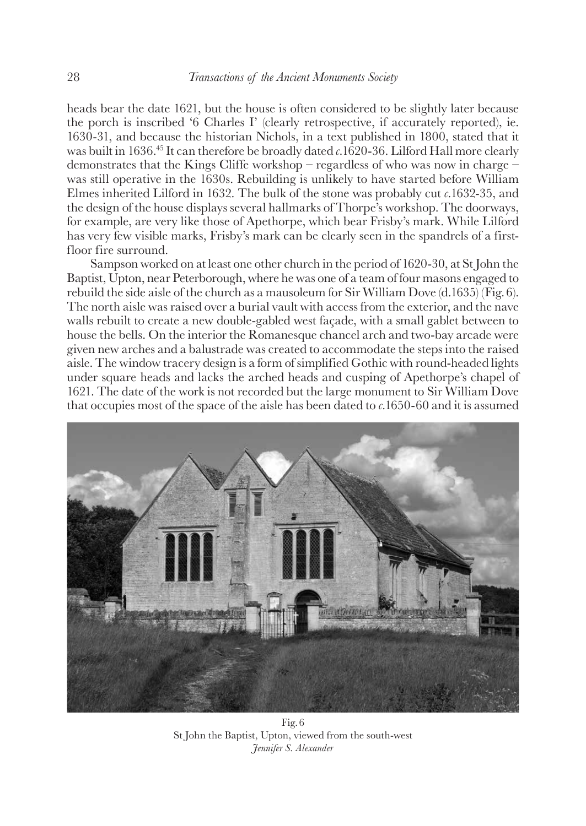<span id="page-8-0"></span>heads bear the date 1621, but the house is often considered to be slightly later because the porch is inscribed '6 Charles I' (clearly retrospective, if accurately reported), ie. 1630-31, and because the historian Nichols, in a text published in 1800, stated that it was built in 1636[.45](#page-17-0) It can therefore be broadly dated *c.*1620-36. Lilford Hall more clearly demonstrates that the Kings Cliffe workshop – regardless of who was now in charge – was still operative in the 1630s. Rebuilding is unlikely to have started before William Elmes inherited Lilford in 1632. The bulk of the stone was probably cut *c.*1632-35, and the design of the house displays several hallmarks of Thorpe's workshop. The doorways, for example, are very like those of Apethorpe, which bear Frisby's mark. While Lilford has very few visible marks, Frisby's mark can be clearly seen in the spandrels of a firstfloor fire surround.

Sampson worked on at least one other church in the period of 1620-30, at St John the Baptist, Upton, near Peterborough, where he was one of a team of four masons engaged to rebuild the side aisle of the church as a mausoleum for Sir William Dove (d.1635) (Fig.6). The north aisle was raised over a burial vault with access from the exterior, and the nave walls rebuilt to create a new double-gabled west façade, with a small gablet between to house the bells. On the interior the Romanesque chancel arch and two-bay arcade were given new arches and a balustrade was created to accommodate the steps into the raised aisle. The window tracery design is a form of simplified Gothic with round-headed lights under square heads and lacks the arched heads and cusping of Apethorpe's chapel of 1621. The date of the work is not recorded but the large monument to Sir William Dove that occupies most of the space of the aisle has been dated to *c.*1650-60 and it is assumed



Fig.6 St John the Baptist, Upton, viewed from the south-west *Jennifer S. Alexander*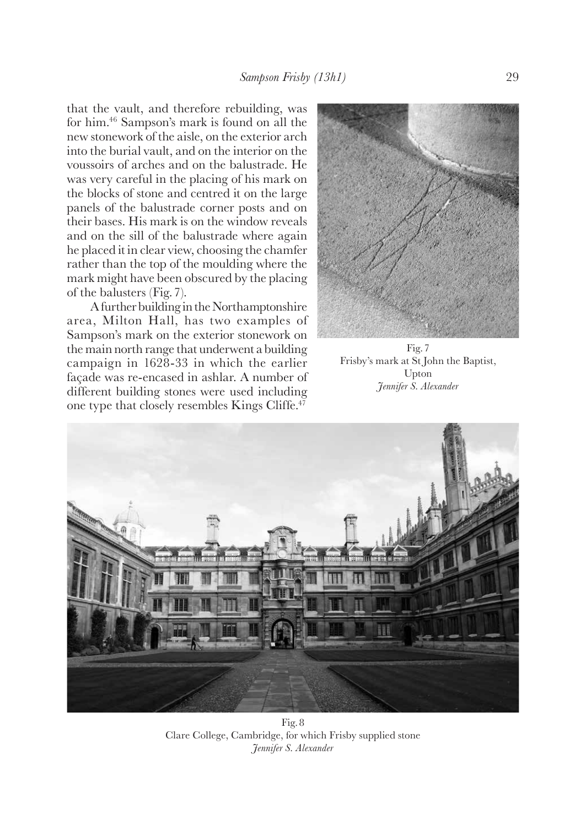<span id="page-9-0"></span>that the vault, and therefore rebuilding, was for him[.46](#page-17-0) Sampson's mark is found on all the new stonework of the aisle, on the exterior arch into the burial vault, and on the interior on the voussoirs of arches and on the balustrade. He was very careful in the placing of his mark on the blocks of stone and centred it on the large panels of the balustrade corner posts and on their bases. His mark is on the window reveals and on the sill of the balustrade where again he placed it in clear view, choosing the chamfer rather than the top of the moulding where the mark might have been obscured by the placing of the balusters (Fig.7).

A further building in the Northamptonshire area, Milton Hall, has two examples of Sampson's mark on the exterior stonework on the main north range that underwent a building campaign in 1628-33 in which the earlier façade was re-encased in ashlar. A number of different building stones were used including one type that closely resembles Kings Cliffe.[47](#page-17-0)



Fig.7 Frisby's mark at St John the Baptist, Upton *Jennifer S. Alexander*



Fig.8 Clare College, Cambridge, for which Frisby supplied stone *Jennifer S. Alexander*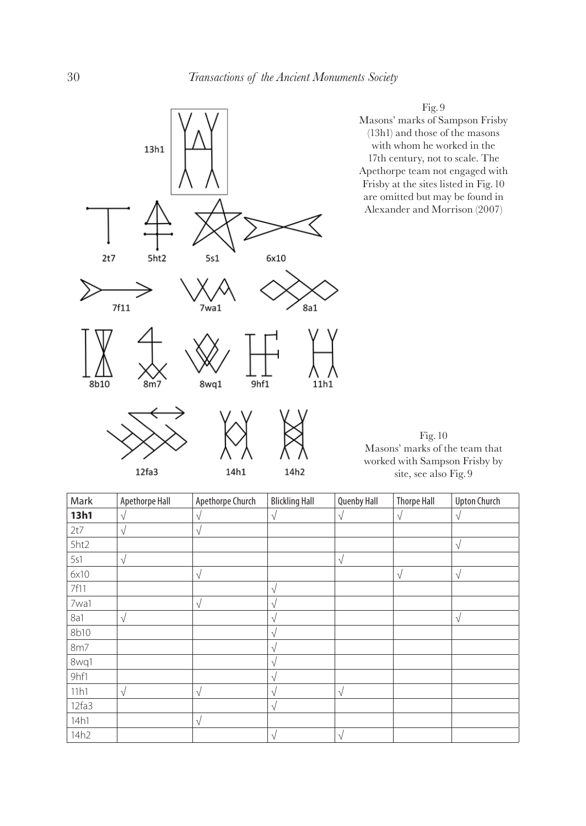

12fa3

14h1

worked with Sampson Frisby by site, see also Fig. 9

| Mark  | Apethorpe Hall | Apethorpe Church | <b>Blickling Hall</b> | <b>Quenby Hall</b> | <b>Thorpe Hall</b> | <b>Upton Church</b> |
|-------|----------------|------------------|-----------------------|--------------------|--------------------|---------------------|
| 13h1  | V              | $\sqrt{ }$       | $\sqrt{}$             | V                  | $\sqrt{ }$         | $\sqrt{}$           |
| 2t7   | V              | V                |                       |                    |                    |                     |
| 5ht2  |                |                  |                       |                    |                    | $\sqrt{}$           |
| 5s1   | V              |                  |                       | V                  |                    |                     |
| 6x10  |                | $\sqrt{}$        |                       |                    | $\sqrt{ }$         | $\sqrt{}$           |
| 7f11  |                |                  | V                     |                    |                    |                     |
| 7wa1  |                | $\sqrt{}$        | V                     |                    |                    |                     |
| 8a1   | V              |                  | V                     |                    |                    | $\sqrt{}$           |
| 8b10  |                |                  | V                     |                    |                    |                     |
| 8m7   |                |                  | V                     |                    |                    |                     |
| 8wq1  |                |                  | V                     |                    |                    |                     |
| 9hf1  |                |                  | V                     |                    |                    |                     |
| 11h1  | $\sqrt{ }$     | $\sqrt{}$        | V                     | $\sqrt{}$          |                    |                     |
| 12fa3 |                |                  | V                     |                    |                    |                     |
| 14h1  |                | $\sqrt{}$        |                       |                    |                    |                     |
| 14h2  |                |                  | $\sqrt{ }$            | $\sqrt{ }$         |                    |                     |

14h2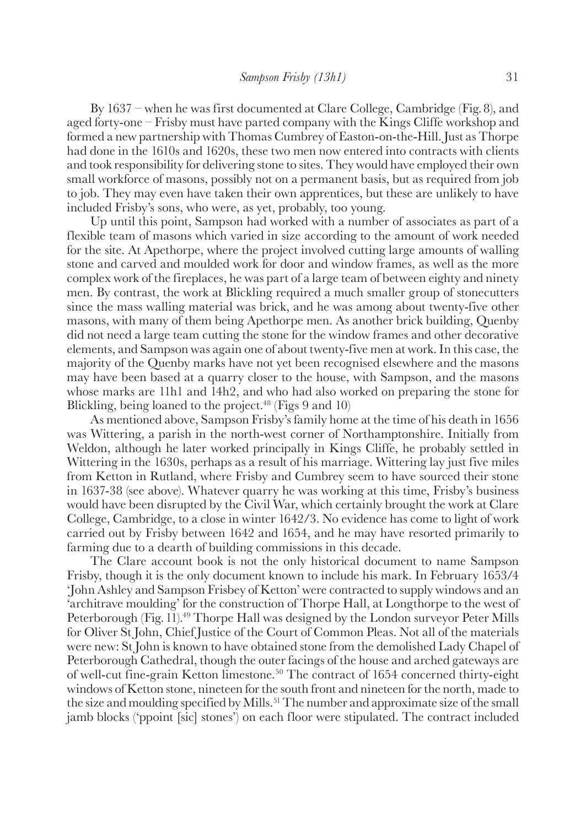<span id="page-11-0"></span>By 1637 – when he was first documented at Clare College, Cambridge (Fig.8), and aged forty-one – Frisby must have parted company with the Kings Cliffe workshop and formed a new partnership with Thomas Cumbrey of Easton-on-the-Hill. Just as Thorpe had done in the 1610s and 1620s, these two men now entered into contracts with clients and took responsibility for delivering stone to sites. They would have employed their own small workforce of masons, possibly not on a permanent basis, but as required from job to job. They may even have taken their own apprentices, but these are unlikely to have included Frisby's sons, who were, as yet, probably, too young.

Up until this point, Sampson had worked with a number of associates as part of a flexible team of masons which varied in size according to the amount of work needed for the site. At Apethorpe, where the project involved cutting large amounts of walling stone and carved and moulded work for door and window frames, as well as the more complex work of the fireplaces, he was part of a large team of between eighty and ninety men. By contrast, the work at Blickling required a much smaller group of stonecutters since the mass walling material was brick, and he was among about twenty-five other masons, with many of them being Apethorpe men. As another brick building, Quenby did not need a large team cutting the stone for the window frames and other decorative elements, and Sampson was again one of about twenty-five men at work. In this case, the majority of the Quenby marks have not yet been recognised elsewhere and the masons may have been based at a quarry closer to the house, with Sampson, and the masons whose marks are 11h1 and 14h2, and who had also worked on preparing the stone for Blickling, being loaned to the project.<sup>[48](#page-17-0)</sup> (Figs 9 and 10)

As mentioned above, Sampson Frisby's family home at the time of his death in 1656 was Wittering, a parish in the north-west corner of Northamptonshire. Initially from Weldon, although he later worked principally in Kings Cliffe, he probably settled in Wittering in the 1630s, perhaps as a result of his marriage. Wittering lay just five miles from Ketton in Rutland, where Frisby and Cumbrey seem to have sourced their stone in 1637-38 (see above). Whatever quarry he was working at this time, Frisby's business would have been disrupted by the Civil War, which certainly brought the work at Clare College, Cambridge, to a close in winter 1642/3. No evidence has come to light of work carried out by Frisby between 1642 and 1654, and he may have resorted primarily to farming due to a dearth of building commissions in this decade.

The Clare account book is not the only historical document to name Sampson Frisby, though it is the only document known to include his mark. In February 1653/4 'John Ashley and Sampson Frisbey of Ketton' were contracted to supply windows and an 'architrave moulding' for the construction of Thorpe Hall, at Longthorpe to the west of Peterborough (Fig. 11).<sup>[49](#page-17-0)</sup> Thorpe Hall was designed by the London surveyor Peter Mills for Oliver St John, Chief Justice of the Court of Common Pleas. Not all of the materials were new: St John is known to have obtained stone from the demolished Lady Chapel of Peterborough Cathedral, though the outer facings of the house and arched gateways are of well-cut fine-grain Ketton limestone.[50](#page-17-0) The contract of 1654 concerned thirty-eight windows of Ketton stone, nineteen for the south front and nineteen for the north, made to the size and moulding specified by Mills.<sup>51</sup> The number and approximate size of the small jamb blocks ('ppoint [sic] stones') on each floor were stipulated. The contract included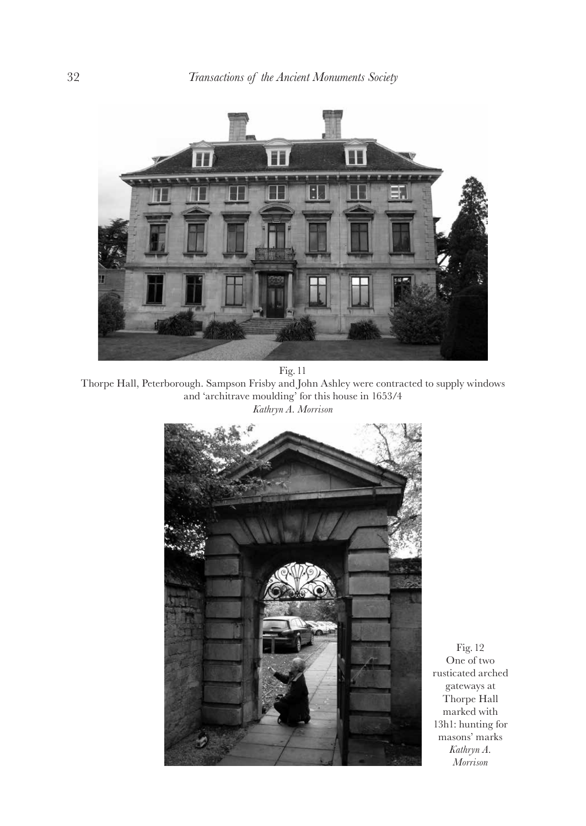

Fig.11 Thorpe Hall, Peterborough. Sampson Frisby and John Ashley were contracted to supply windows and 'architrave moulding' for this house in 1653/4 *Kathryn A. Morrison*



Fig.12 One of two rusticated arched gateways at Thorpe Hall marked with 13h1: hunting for masons' marks *Kathryn A. Morrison*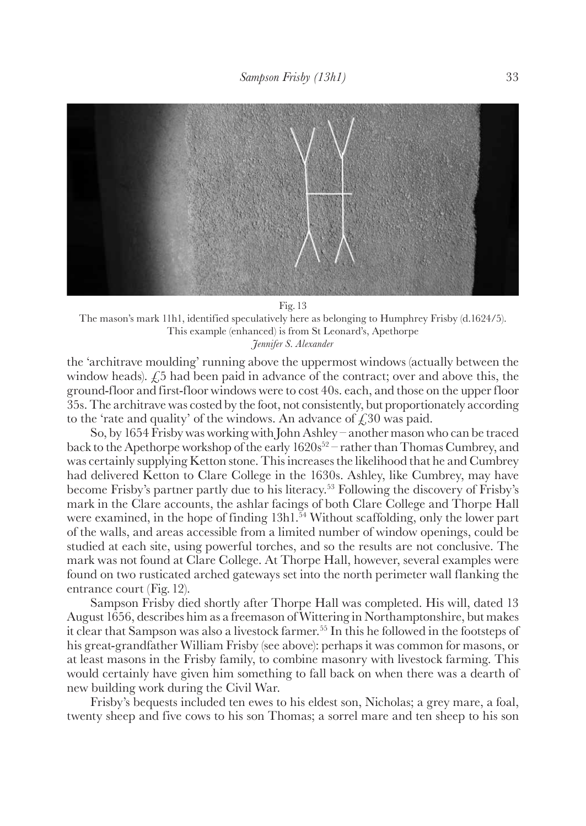<span id="page-13-0"></span>

Fig.13 The mason's mark 11h1, identified speculatively here as belonging to Humphrey Frisby (d.1624/5). This example (enhanced) is from St Leonard's, Apethorpe

*Jennifer S. Alexander*

the 'architrave moulding' running above the uppermost windows (actually between the window heads).  $\angle$  5 had been paid in advance of the contract; over and above this, the ground-floor and first-floor windows were to cost 40s. each, and those on the upper floor 35s. The architrave was costed by the foot, not consistently, but proportionately according to the 'rate and quality' of the windows. An advance of  $\angle$  530 was paid.

So, by 1654 Frisby was working with John Ashley – another mason who can be traced back to the Apethorpe workshop of the early  $1620s^{52}$  – rather than Thomas Cumbrey, and was certainly supplying Ketton stone. This increases the likelihood that he and Cumbrey had delivered Ketton to Clare College in the 1630s. Ashley, like Cumbrey, may have become Frisby's partner partly due to his literacy.[53](#page-17-0) Following the discovery of Frisby's mark in the Clare accounts, the ashlar facings of both Clare College and Thorpe Hall were examined, in the hope of finding 13h1.<sup>54</sup> Without scaffolding, only the lower part of the walls, and areas accessible from a limited number of window openings, could be studied at each site, using powerful torches, and so the results are not conclusive. The mark was not found at Clare College. At Thorpe Hall, however, several examples were found on two rusticated arched gateways set into the north perimeter wall flanking the entrance court (Fig.12).

Sampson Frisby died shortly after Thorpe Hall was completed. His will, dated 13 August 1656, describes him as a freemason of Wittering in Northamptonshire, but makes it clear that Sampson was also a livestock farmer.[55](#page-17-0) In this he followed in the footsteps of his great-grandfather William Frisby (see above): perhaps it was common for masons, or at least masons in the Frisby family, to combine masonry with livestock farming. This would certainly have given him something to fall back on when there was a dearth of new building work during the Civil War.

Frisby's bequests included ten ewes to his eldest son, Nicholas; a grey mare, a foal, twenty sheep and five cows to his son Thomas; a sorrel mare and ten sheep to his son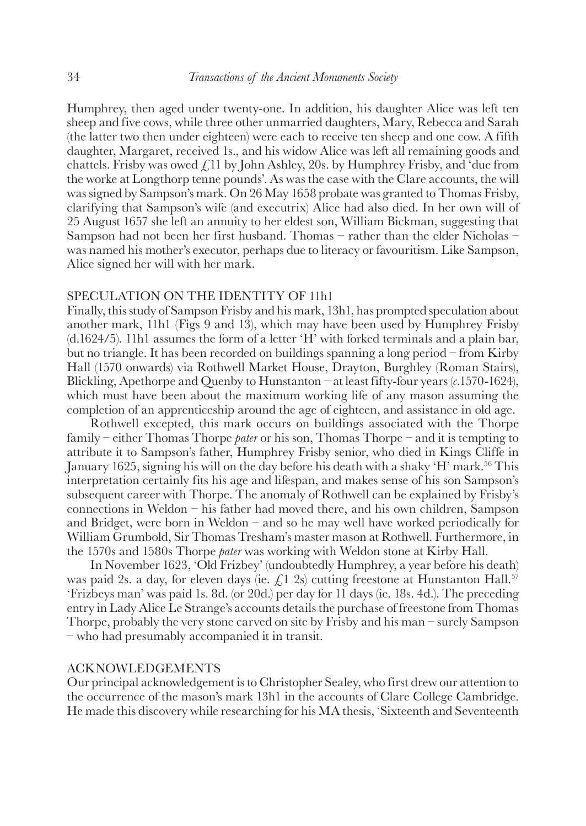<span id="page-14-0"></span>Humphrey, then aged under twenty-one. In addition, his daughter Alice was left ten sheep and five cows, while three other unmarried daughters, Mary, Rebecca and Sarah (the latter two then under eighteen) were each to receive ten sheep and one cow. A fifth daughter, Margaret, received 1s., and his widow Alice was left all remaining goods and chattels. Frisby was owed  $\mathcal{L}$ 11 by John Ashley, 20s. by Humphrey Frisby, and 'due from the worke at Longthorp tenne pounds'. As was the case with the Clare accounts, the will was signed by Sampson's mark. On 26 May 1658 probate was granted to Thomas Frisby, clarifying that Sampson's wife (and executrix) Alice had also died. In her own will of 25 August 1657 she left an annuity to her eldest son, William Bickman, suggesting that Sampson had not been her first husband. Thomas – rather than the elder Nicholas – was named his mother's executor, perhaps due to literacy or favouritism. Like Sampson, Alice signed her will with her mark.

## SPECULATION ON THE IDENTITY OF 11h1

Finally, this study of Sampson Frisby and his mark, 13h1, has prompted speculation about another mark, 11h1 (Figs 9 and 13), which may have been used by Humphrey Frisby (d.1624/5). 11h1 assumes the form of a letter 'H' with forked terminals and a plain bar, but no triangle. It has been recorded on buildings spanning a long period – from Kirby Hall (1570 onwards) via Rothwell Market House, Drayton, Burghley (Roman Stairs), Blickling, Apethorpe and Quenby to Hunstanton – at least fifty-four years (*c.*1570-1624), which must have been about the maximum working life of any mason assuming the completion of an apprenticeship around the age of eighteen, and assistance in old age.

Rothwell excepted, this mark occurs on buildings associated with the Thorpe family – either Thomas Thorpe *pater* or his son, Thomas Thorpe – and it is tempting to attribute it to Sampson's father, Humphrey Frisby senior, who died in Kings Cliffe in January 1625, signing his will on the day before his death with a shaky 'H' mark.[56](#page-17-0) This interpretation certainly fits his age and lifespan, and makes sense of his son Sampson's subsequent career with Thorpe. The anomaly of Rothwell can be explained by Frisby's connections in Weldon – his father had moved there, and his own children, Sampson and Bridget, were born in Weldon – and so he may well have worked periodically for William Grumbold, Sir Thomas Tresham's master mason at Rothwell. Furthermore, in the 1570s and 1580s Thorpe *pater* was working with Weldon stone at Kirby Hall.

In November 1623, 'Old Frizbey' (undoubtedly Humphrey, a year before his death) was paid 2s. a day, for eleven days (ie.  $f(1\ 2s)$ ) cutting freestone at Hunstanton Hall.<sup>[57](#page-17-0)</sup> 'Frizbeys man' was paid 1s. 8d. (or 20d.) per day for 11 days (ie. 18s. 4d.). The preceding entry in Lady Alice Le Strange's accounts details the purchase of freestone from Thomas Thorpe, probably the very stone carved on site by Frisby and his man – surely Sampson – who had presumably accompanied it in transit.

## ACKNOWLEDGEMENTS

Our principal acknowledgement is to Christopher Sealey, who first drew our attention to the occurrence of the mason's mark 13h1 in the accounts of Clare College Cambridge. He made this discovery while researching for his MA thesis, 'Sixteenth and Seventeenth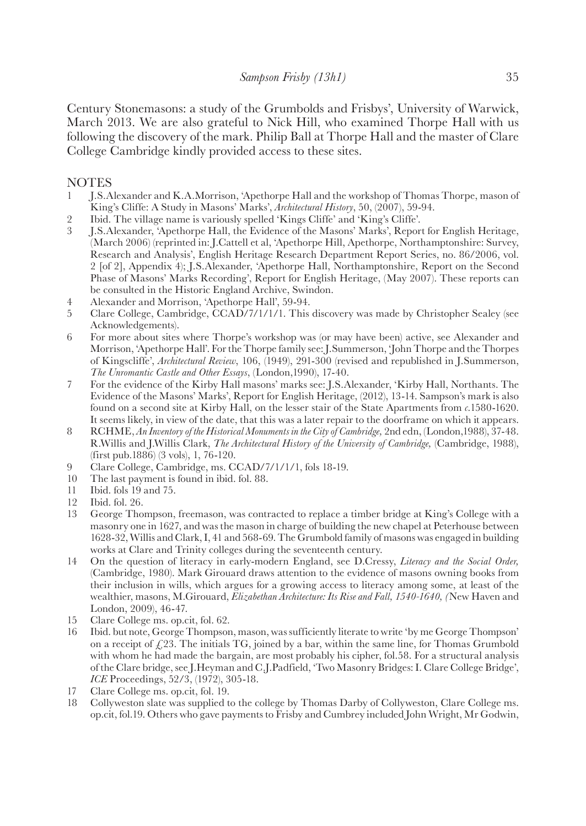<span id="page-15-0"></span>Century Stonemasons: a study of the Grumbolds and Frisbys', University of Warwick, March 2013. We are also grateful to Nick Hill, who examined Thorpe Hall with us following the discovery of the mark. Philip Ball at Thorpe Hall and the master of Clare College Cambridge kindly provided access to these sites.

### **NOTES**

- [1](#page-0-0) J.S.Alexander and K.A.Morrison, 'Apethorpe Hall and the workshop of Thomas Thorpe, mason of King's Cliffe: A Study in Masons' Marks', *Architectural History*, 50, (2007), 59-94.
- [2](#page-0-0) Ibid. The village name is variously spelled 'Kings Cliffe' and 'King's Cliffe'.
- [3](#page-0-0) J.S.Alexander, 'Apethorpe Hall, the Evidence of the Masons' Marks', Report for English Heritage, (March 2006) (reprinted in: J.Cattell et al, 'Apethorpe Hill, Apethorpe, Northamptonshire: Survey, Research and Analysis', English Heritage Research Department Report Series, no. 86/2006, vol. 2 [of 2], Appendix 4); J.S.Alexander, 'Apethorpe Hall, Northamptonshire, Report on the Second Phase of Masons' Marks Recording', Report for English Heritage, (May 2007). These reports can be consulted in the Historic England Archive, Swindon.
- [4](#page-0-0) Alexander and Morrison, 'Apethorpe Hall', 59-94.<br>5 Clare College. Cambridge. CCAD/7/1/1/1. This
- [5](#page-1-0) Clare College, Cambridge, CCAD/7/1/1/1. This discovery was made by Christopher Sealey (see Acknowledgements).
- [6](#page-1-0) For more about sites where Thorpe's workshop was (or may have been) active, see Alexander and Morrison, 'Apethorpe Hall'. For the Thorpe family see: J.Summerson, 'John Thorpe and the Thorpes of Kingscliffe', *Architectural Review*, 106, (1949), 291-300 (revised and republished in J.Summerson, *The Unromantic Castle and Other Essays*, (London,1990), 17-40.
- [7](#page-1-0) For the evidence of the Kirby Hall masons' marks see: J.S.Alexander, 'Kirby Hall, Northants. The Evidence of the Masons' Marks', Report for English Heritage, (2012), 13-14. Sampson's mark is also found on a second site at Kirby Hall, on the lesser stair of the State Apartments from *c.*1580-1620. It seems likely, in view of the date, that this was a later repair to the doorframe on which it appears.
- [8](#page-2-0) RCHME, *An Inventory of the Historical Monuments in the City of Cambridge,* 2nd edn, (London,1988), 37-48. R.Willis and J.Willis Clark, *The Architectural History of the University of Cambridge,* (Cambridge, 1988), (first pub.1886) (3 vols), 1, 76-120.
- [9](#page-2-0) Clare College, Cambridge, ms. CCAD/7/1/1/1, fols 18-19.
- [10](#page-2-0) The last payment is found in ibid. fol. 88.<br>11 Ibid. fols 19 and 75.
- [11](#page-2-0) Ibid. fols 19 and 75.
- [12](#page-2-0) Ibid. fol. 26.
- [13](#page-2-0) George Thompson, freemason, was contracted to replace a timber bridge at King's College with a masonry one in 1627, and was the mason in charge of building the new chapel at Peterhouse between 1628-32, Willis and Clark, I, 41 and 568-69. The Grumbold family of masons was engaged in building works at Clare and Trinity colleges during the seventeenth century.
- [14](#page-2-0) On the question of literacy in early-modern England, see D.Cressy, *Literacy and the Social Order,* (Cambridge, 1980). Mark Girouard draws attention to the evidence of masons owning books from their inclusion in wills, which argues for a growing access to literacy among some, at least of the wealthier, masons, M.Girouard, *Elizabethan Architecture: Its Rise and Fall, 1540-1640, (*New Haven and London, 2009), 46-47.
- [15](#page-2-0) Clare College ms. op.cit, fol. 62.
- [16](#page-2-0) Ibid. but note, George Thompson, mason, was sufficiently literate to write 'by me George Thompson' on a receipt of  $f(23)$ . The initials TG, joined by a bar, within the same line, for Thomas Grumbold with whom he had made the bargain, are most probably his cipher, fol.58. For a structural analysis of the Clare bridge, see J.Heyman and C.J.Padfield, 'Two Masonry Bridges: I. Clare College Bridge', *ICE* Proceedings, 52/3, (1972), 305-18.
- [17](#page-3-0) Clare College ms. op.cit, fol. 19.
- [18](#page-3-0) Collyweston slate was supplied to the college by Thomas Darby of Collyweston, Clare College ms. op.cit, fol.19. Others who gave payments to Frisby and Cumbrey included John Wright, Mr Godwin,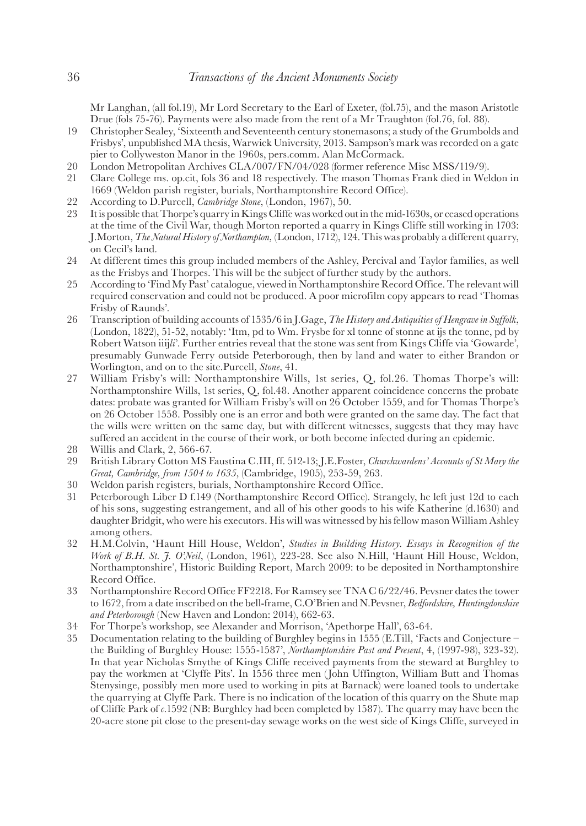<span id="page-16-0"></span>Mr Langhan, (all fol.19), Mr Lord Secretary to the Earl of Exeter, (fol.75), and the mason Aristotle Drue (fols 75-76). Payments were also made from the rent of a Mr Traughton (fol.76, fol. 88).

- [19](#page-3-0) Christopher Sealey, 'Sixteenth and Seventeenth century stonemasons; a study of the Grumbolds and Frisbys', unpublished MA thesis, Warwick University, 2013. Sampson's mark was recorded on a gate pier to Collyweston Manor in the 1960s, pers.comm. Alan McCormack.
- [20](#page-3-0) London Metropolitan Archives CLA/007/FN/04/028 (former reference Misc MSS/119/9).<br>21 Clare College ms. on.cit. fols 36 and 18 respectively. The mason Thomas Frank died in Wel
- [21](#page-3-0) Clare College ms. op.cit, fols 36 and 18 respectively. The mason Thomas Frank died in Weldon in 1669 (Weldon parish register, burials, Northamptonshire Record Office).
- [22](#page-3-0) According to D.Purcell, *Cambridge Stone*, (London, 1967), 50.
- [23](#page-3-0) It is possible that Thorpe's quarry in Kings Cliffe was worked out in the mid-1630s, or ceased operations at the time of the Civil War, though Morton reported a quarry in Kings Cliffe still working in 1703: J.Morton, *The Natural History of Northampton,* (London, 1712), 124. This was probably a different quarry, on Cecil's land.
- [24](#page-3-0) At different times this group included members of the Ashley, Percival and Taylor families, as well as the Frisbys and Thorpes. This will be the subject of further study by the authors.
- [25](#page-3-0) According to 'Find My Past' catalogue, viewed in Northamptonshire Record Office. The relevant will required conservation and could not be produced. A poor microfilm copy appears to read 'Thomas Frisby of Raunds'.
- [26](#page-4-0) Transcription of building accounts of 1535/6 in J.Gage, *The History and Antiquities of Hengrave in Suffolk*, (London, 1822), 51-52, notably: 'Itm, pd to Wm. Frysbe for xl tonne of stonne at ijs the tonne, pd by Robert Watson iiij*li*'. Further entries reveal that the stone was sent from Kings Cliffe via 'Gowarde', presumably Gunwade Ferry outside Peterborough, then by land and water to either Brandon or Worlington, and on to the site.Purcell, *Stone*, 41.
- [27](#page-4-0) William Frisby's will: Northamptonshire Wills, 1st series, Q, fol.26. Thomas Thorpe's will: Northamptonshire Wills, 1st series, Q, fol.48. Another apparent coincidence concerns the probate dates: probate was granted for William Frisby's will on 26 October 1559, and for Thomas Thorpe's on 26 October 1558. Possibly one is an error and both were granted on the same day. The fact that the wills were written on the same day, but with different witnesses, suggests that they may have suffered an accident in the course of their work, or both become infected during an epidemic.
- [28](#page-4-0) Willis and Clark, 2, 566-67.<br>29 British Library Cotton MS F
- [29](#page-4-0) British Library Cotton MS Faustina C.III, ff. 512-13; J.E.Foster, *Churchwardens' Accounts of St Mary the Great, Cambridge, from 1504 to 1635*, (Cambridge, 1905), 253-59, 263.
- [30](#page-4-0) Weldon parish registers, burials, Northamptonshire Record Office.
- [31](#page-4-0) Peterborough Liber D f.149 (Northamptonshire Record Office). Strangely, he left just 12d to each of his sons, suggesting estrangement, and all of his other goods to his wife Katherine (d.1630) and daughter Bridgit, who were his executors. His will was witnessed by his fellow mason William Ashley among others.
- [32](#page-4-0) H.M.Colvin, 'Haunt Hill House, Weldon', *Studies in Building History. Essays in Recognition of the Work of B.H. St. J. O'Neil*, (London, 1961), 223-28. See also N.Hill, 'Haunt Hill House, Weldon, Northamptonshire', Historic Building Report, March 2009: to be deposited in Northamptonshire Record Office.
- [33](#page-4-0) Northamptonshire Record Office FF2218. For Ramsey see TNA C 6/22/46. Pevsner dates the tower to 1672, from a date inscribed on the bell-frame, C.O'Brien and N.Pevsner, *Bedfordshire, Huntingdonshire and Peterborough* (New Haven and London: 2014), 662-63.
- [34](#page-5-0) For Thorpe's workshop, see Alexander and Morrison, 'Apethorpe Hall', 63-64.
- [35](#page-5-0) Documentation relating to the building of Burghley begins in 1555 (E.Till, 'Facts and Conjecture the Building of Burghley House: 1555-1587', *Northamptonshire Past and Present*, 4, (1997-98), 323-32). In that year Nicholas Smythe of Kings Cliffe received payments from the steward at Burghley to pay the workmen at 'Clyffe Pits'. In 1556 three men (John Uffington, William Butt and Thomas Stenysinge, possibly men more used to working in pits at Barnack) were loaned tools to undertake the quarrying at Clyffe Park. There is no indication of the location of this quarry on the Shute map of Cliffe Park of *c.*1592 (NB: Burghley had been completed by 1587). The quarry may have been the 20-acre stone pit close to the present-day sewage works on the west side of Kings Cliffe, surveyed in